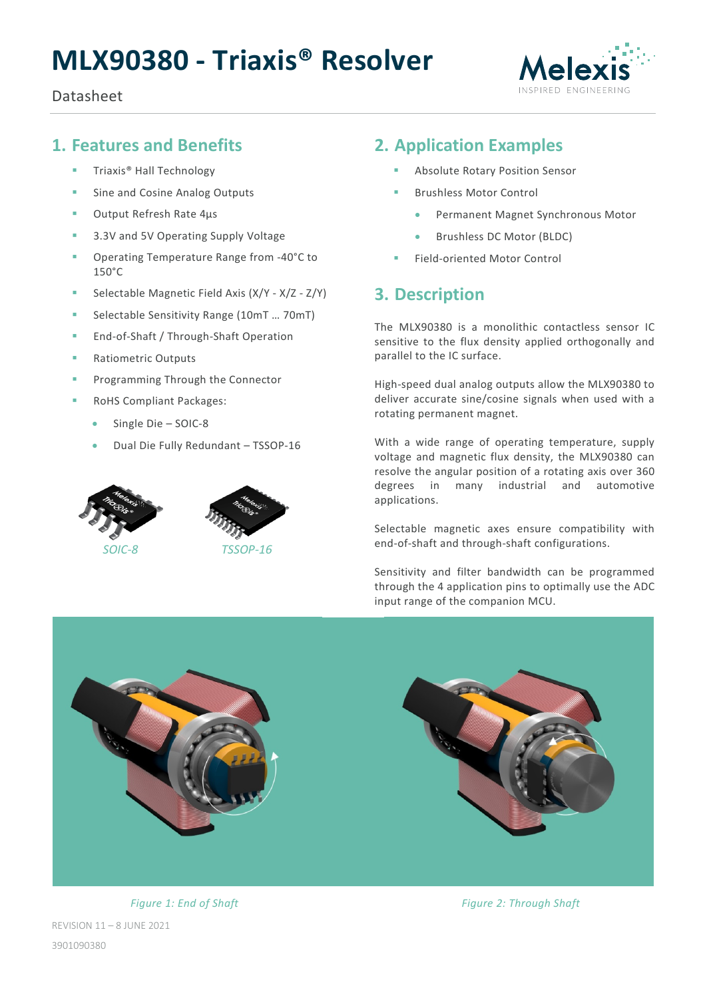# **MLX90380 - Triaxis® Resolver**

#### Datasheet



# <span id="page-0-0"></span>**1. Features and Benefits**

- Triaxis<sup>®</sup> Hall Technology
- **Sine and Cosine Analog Outputs**
- Output Refresh Rate 4µs
- **3.3V and 5V Operating Supply Voltage**
- Operating Temperature Range from -40°C to 150°C
- Selectable Magnetic Field Axis (X/Y X/Z Z/Y)
- Selectable Sensitivity Range (10mT ... 70mT)
- **End-of-Shaft / Through-Shaft Operation**
- **Ratiometric Outputs**
- Programming Through the Connector
- RoHS Compliant Packages:
	- Single Die SOIC-8
	- Dual Die Fully Redundant TSSOP-16





*SOIC-8 TSSOP-16*

# <span id="page-0-1"></span>**2. Application Examples**

- Absolute Rotary Position Sensor
- Brushless Motor Control
	- Permanent Magnet Synchronous Motor
	- Brushless DC Motor (BLDC)
- Field-oriented Motor Control

# <span id="page-0-2"></span>**3. Description**

The MLX90380 is a monolithic contactless sensor IC sensitive to the flux density applied orthogonally and parallel to the IC surface.

High-speed dual analog outputs allow the MLX90380 to deliver accurate sine/cosine signals when used with a rotating permanent magnet.

With a wide range of operating temperature, supply voltage and magnetic flux density, the MLX90380 can resolve the angular position of a rotating axis over 360 degrees in many industrial and automotive applications.

Selectable magnetic axes ensure compatibility with end-of-shaft and through-shaft configurations.

Sensitivity and filter bandwidth can be programmed through the 4 application pins to optimally use the ADC input range of the companion MCU.



REVISION 11 – 8 JUNE 2021 3901090380

*Figure 1: End of Shaft Figure 2: Through Shaft*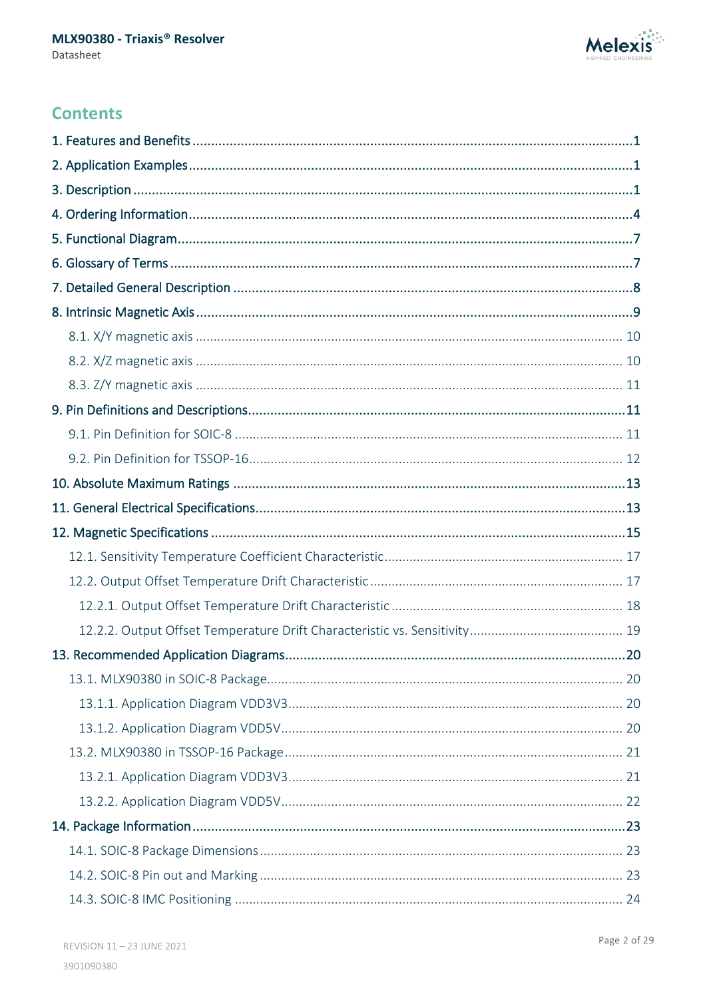

# **Contents**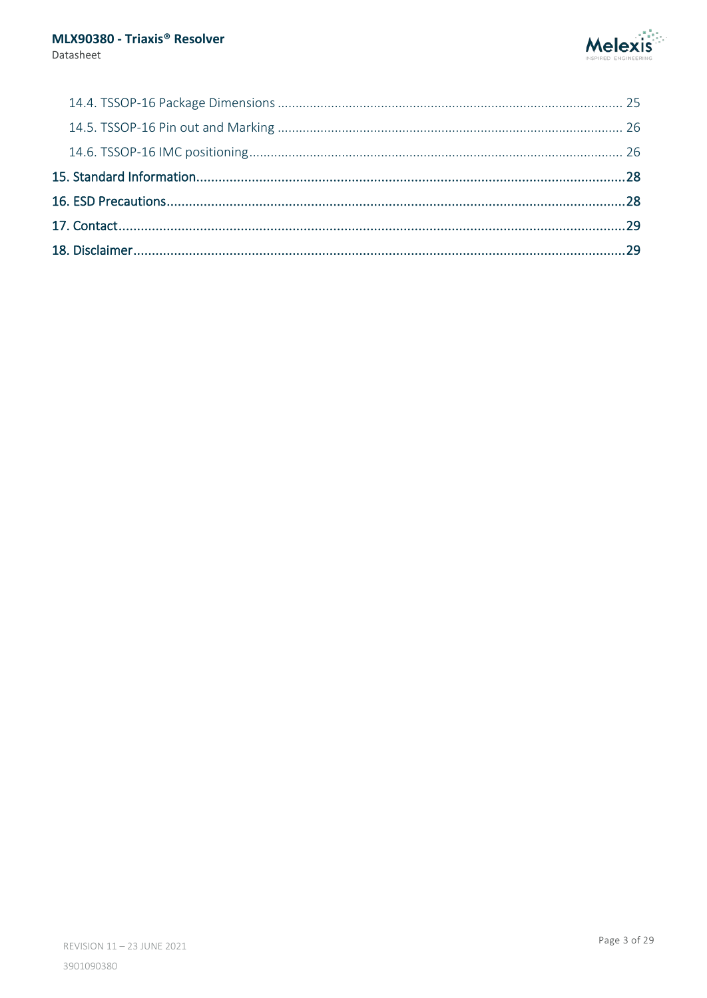Datasheet

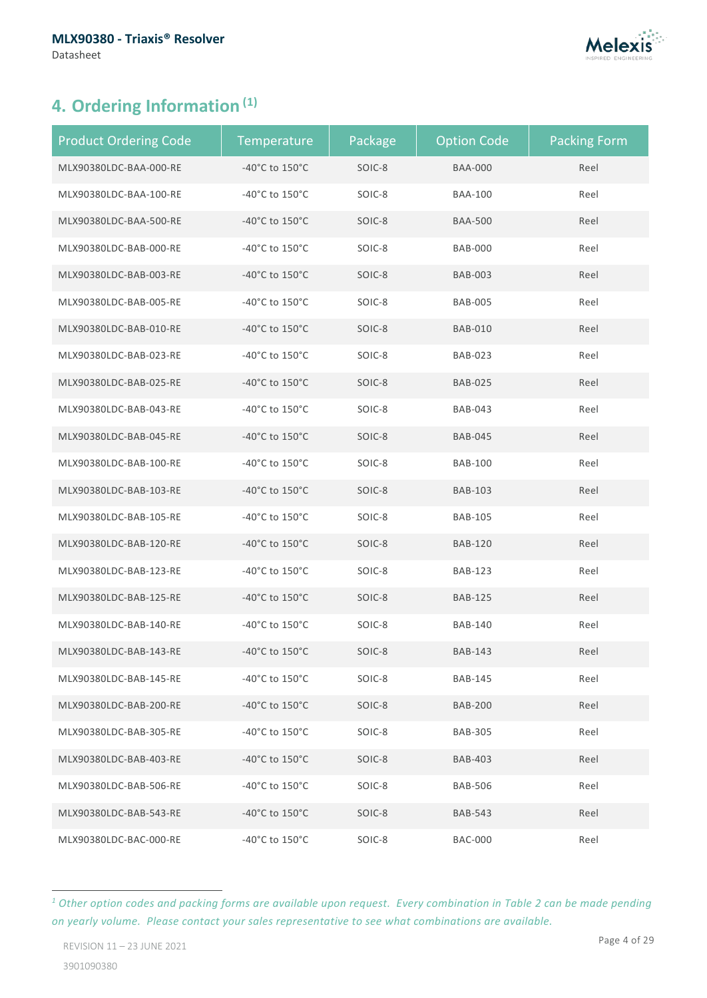

# <span id="page-3-0"></span>**4. Ordering Information ([1\)](#page-3-1)**

| <b>Product Ordering Code</b> | Temperature                          | Package | <b>Option Code</b> | <b>Packing Form</b> |
|------------------------------|--------------------------------------|---------|--------------------|---------------------|
| MLX90380LDC-BAA-000-RE       | -40°C to 150°C                       | SOIC-8  | <b>BAA-000</b>     | Reel                |
| MLX90380LDC-BAA-100-RE       | -40°C to 150°C                       | SOIC-8  | <b>BAA-100</b>     | Reel                |
| MLX90380LDC-BAA-500-RE       | -40 $^{\circ}$ C to 150 $^{\circ}$ C | SOIC-8  | <b>BAA-500</b>     | Reel                |
| MLX90380LDC-BAB-000-RE       | -40°C to 150°C                       | SOIC-8  | <b>BAB-000</b>     | Reel                |
| MLX90380LDC-BAB-003-RE       | -40 $^{\circ}$ C to 150 $^{\circ}$ C | SOIC-8  | <b>BAB-003</b>     | Reel                |
| MLX90380LDC-BAB-005-RE       | -40°C to 150°C                       | SOIC-8  | <b>BAB-005</b>     | Reel                |
| MLX90380LDC-BAB-010-RE       | -40 $^{\circ}$ C to 150 $^{\circ}$ C | SOIC-8  | <b>BAB-010</b>     | Reel                |
| MLX90380LDC-BAB-023-RE       | -40°C to 150°C                       | SOIC-8  | <b>BAB-023</b>     | Reel                |
| MLX90380LDC-BAB-025-RE       | -40 $^{\circ}$ C to 150 $^{\circ}$ C | SOIC-8  | <b>BAB-025</b>     | Reel                |
| MLX90380LDC-BAB-043-RE       | -40°C to 150°C                       | SOIC-8  | <b>BAB-043</b>     | Reel                |
| MLX90380LDC-BAB-045-RE       | -40 $^{\circ}$ C to 150 $^{\circ}$ C | SOIC-8  | <b>BAB-045</b>     | Reel                |
| MLX90380LDC-BAB-100-RE       | -40°C to 150°C                       | SOIC-8  | <b>BAB-100</b>     | Reel                |
| MLX90380LDC-BAB-103-RE       | -40 $^{\circ}$ C to 150 $^{\circ}$ C | SOIC-8  | <b>BAB-103</b>     | Reel                |
| MLX90380LDC-BAB-105-RE       | -40°C to 150°C                       | SOIC-8  | <b>BAB-105</b>     | Reel                |
| MLX90380LDC-BAB-120-RE       | -40 $^{\circ}$ C to 150 $^{\circ}$ C | SOIC-8  | <b>BAB-120</b>     | Reel                |
| MLX90380LDC-BAB-123-RE       | -40°C to 150°C                       | SOIC-8  | <b>BAB-123</b>     | Reel                |
| MLX90380LDC-BAB-125-RE       | -40 $^{\circ}$ C to 150 $^{\circ}$ C | SOIC-8  | <b>BAB-125</b>     | Reel                |
| MLX90380LDC-BAB-140-RE       | -40°C to 150°C                       | SOIC-8  | <b>BAB-140</b>     | Reel                |
| MLX90380LDC-BAB-143-RE       | -40 $^{\circ}$ C to 150 $^{\circ}$ C | SOIC-8  | <b>BAB-143</b>     | Reel                |
| MLX90380LDC-BAB-145-RE       | -40°C to 150°C                       | SOIC-8  | <b>BAB-145</b>     | Reel                |
| MLX90380LDC-BAB-200-RE       | -40 $^{\circ}$ C to 150 $^{\circ}$ C | SOIC-8  | <b>BAB-200</b>     | Reel                |
| MLX90380LDC-BAB-305-RE       | $-40^{\circ}$ C to 150 $^{\circ}$ C  | SOIC-8  | <b>BAB-305</b>     | Reel                |
| MLX90380LDC-BAB-403-RE       | -40 $^{\circ}$ C to 150 $^{\circ}$ C | SOIC-8  | <b>BAB-403</b>     | Reel                |
| MLX90380LDC-BAB-506-RE       | -40 $^{\circ}$ C to 150 $^{\circ}$ C | SOIC-8  | <b>BAB-506</b>     | Reel                |
| MLX90380LDC-BAB-543-RE       | -40°C to 150°C                       | SOIC-8  | <b>BAB-543</b>     | Reel                |
| MLX90380LDC-BAC-000-RE       | -40 $^{\circ}$ C to 150 $^{\circ}$ C | SOIC-8  | <b>BAC-000</b>     | Reel                |

<span id="page-3-1"></span>*<sup>1</sup> Other option codes and packing forms are available upon request. Every combination in Table 2 can be made pending on yearly volume. Please contact your sales representative to see what combinations are available.*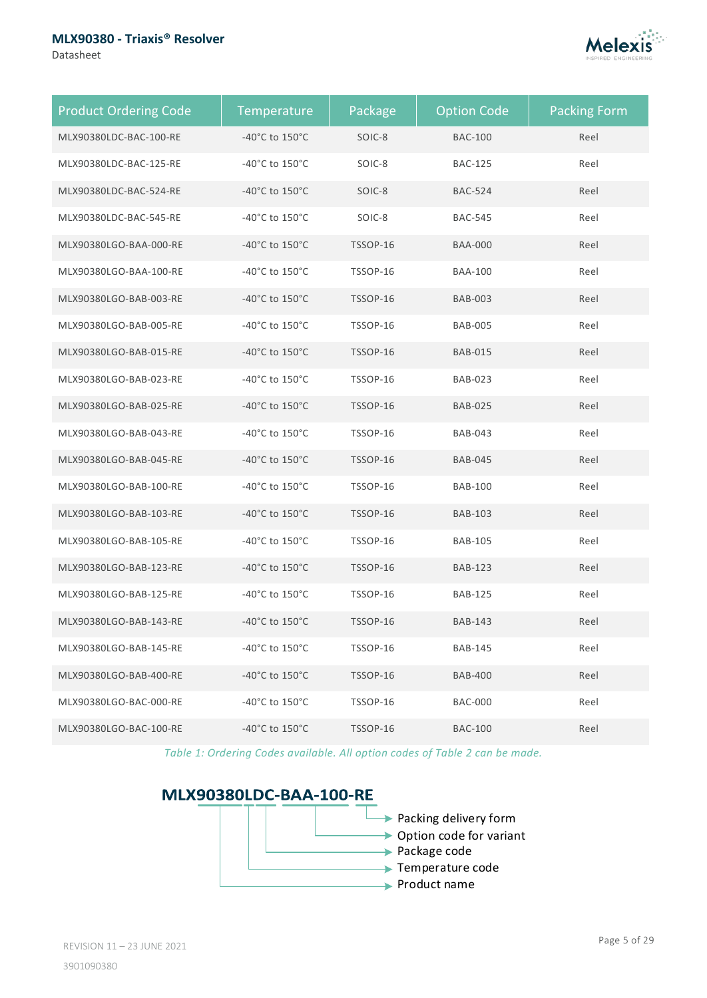#### **MLX90380 - Triaxis® Resolver**

Datasheet



| <b>Product Ordering Code</b> | Temperature                          | Package         | <b>Option Code</b> | <b>Packing Form</b> |
|------------------------------|--------------------------------------|-----------------|--------------------|---------------------|
| MLX90380LDC-BAC-100-RE       | -40°C to 150°C                       | SOIC-8          | <b>BAC-100</b>     | Reel                |
| MLX90380LDC-BAC-125-RE       | -40°C to 150°C                       | SOIC-8          | <b>BAC-125</b>     | Reel                |
| MLX90380LDC-BAC-524-RE       | -40°C to 150°C                       | SOIC-8          | <b>BAC-524</b>     | Reel                |
| MLX90380LDC-BAC-545-RE       | -40°C to 150°C                       | SOIC-8          | <b>BAC-545</b>     | Reel                |
| MLX90380LGO-BAA-000-RE       | -40°C to 150°C                       | <b>TSSOP-16</b> | <b>BAA-000</b>     | Reel                |
| MLX90380LGO-BAA-100-RE       | -40°C to 150°C                       | <b>TSSOP-16</b> | <b>BAA-100</b>     | Reel                |
| MLX90380LGO-BAB-003-RE       | -40°C to 150°C                       | <b>TSSOP-16</b> | <b>BAB-003</b>     | Reel                |
| MLX90380LGO-BAB-005-RE       | -40°C to 150°C                       | <b>TSSOP-16</b> | <b>BAB-005</b>     | Reel                |
| MLX90380LGO-BAB-015-RE       | -40°C to 150°C                       | <b>TSSOP-16</b> | <b>BAB-015</b>     | Reel                |
| MLX90380LGO-BAB-023-RE       | -40°C to 150°C                       | <b>TSSOP-16</b> | <b>BAB-023</b>     | Reel                |
| MLX90380LGO-BAB-025-RE       | -40°C to 150°C                       | TSSOP-16        | <b>BAB-025</b>     | Reel                |
| MLX90380LGO-BAB-043-RE       | -40°C to 150°C                       | <b>TSSOP-16</b> | <b>BAB-043</b>     | Reel                |
| MLX90380LGO-BAB-045-RE       | -40°C to 150°C                       | <b>TSSOP-16</b> | <b>BAB-045</b>     | Reel                |
| MLX90380LGO-BAB-100-RE       | -40°C to 150°C                       | TSSOP-16        | <b>BAB-100</b>     | Reel                |
| MLX90380LGO-BAB-103-RE       | -40°C to 150°C                       | <b>TSSOP-16</b> | <b>BAB-103</b>     | Reel                |
| MLX90380LGO-BAB-105-RE       | -40°C to 150°C                       | <b>TSSOP-16</b> | <b>BAB-105</b>     | Reel                |
| MLX90380LGO-BAB-123-RE       | -40°C to 150°C                       | TSSOP-16        | <b>BAB-123</b>     | Reel                |
| MLX90380LGO-BAB-125-RE       | -40°C to 150°C                       | <b>TSSOP-16</b> | <b>BAB-125</b>     | Reel                |
| MLX90380LGO-BAB-143-RE       | -40 $^{\circ}$ C to 150 $^{\circ}$ C | TSSOP-16        | <b>BAB-143</b>     | Reel                |
| MLX90380LGO-BAB-145-RE       | -40°C to 150°C                       | TSSOP-16        | <b>BAB-145</b>     | Reel                |
| MLX90380LGO-BAB-400-RE       | -40 $^{\circ}$ C to 150 $^{\circ}$ C | TSSOP-16        | <b>BAB-400</b>     | Reel                |
| MLX90380LGO-BAC-000-RE       | -40 $^{\circ}$ C to 150 $^{\circ}$ C | TSSOP-16        | <b>BAC-000</b>     | Reel                |
| MLX90380LGO-BAC-100-RE       | -40 $^{\circ}$ C to 150 $^{\circ}$ C | <b>TSSOP-16</b> | <b>BAC-100</b>     | Reel                |

*Table 1: Ordering Codes available. All option codes of Table 2 can be made.*

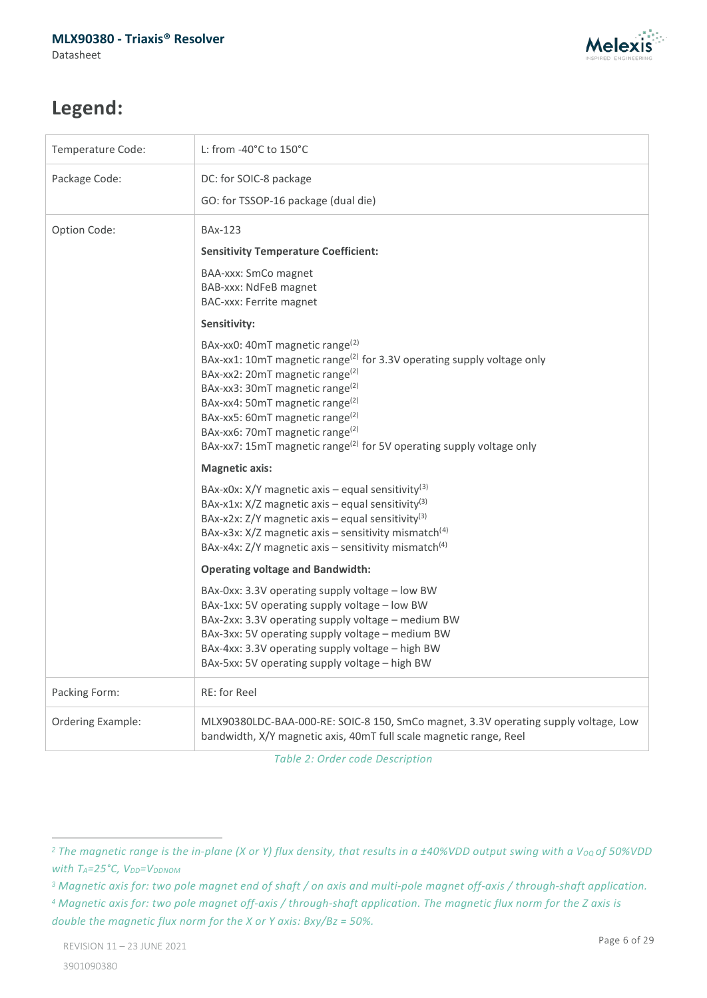

# **Legend:**

<span id="page-5-0"></span>

| Temperature Code: | L: from -40°C to 150°C                                                                                                                                                                                                                                                                                                                                                                                                                                           |
|-------------------|------------------------------------------------------------------------------------------------------------------------------------------------------------------------------------------------------------------------------------------------------------------------------------------------------------------------------------------------------------------------------------------------------------------------------------------------------------------|
| Package Code:     | DC: for SOIC-8 package                                                                                                                                                                                                                                                                                                                                                                                                                                           |
|                   | GO: for TSSOP-16 package (dual die)                                                                                                                                                                                                                                                                                                                                                                                                                              |
| Option Code:      | BAx-123                                                                                                                                                                                                                                                                                                                                                                                                                                                          |
|                   | <b>Sensitivity Temperature Coefficient:</b>                                                                                                                                                                                                                                                                                                                                                                                                                      |
|                   | BAA-xxx: SmCo magnet<br>BAB-xxx: NdFeB magnet<br>BAC-xxx: Ferrite magnet                                                                                                                                                                                                                                                                                                                                                                                         |
|                   | Sensitivity:                                                                                                                                                                                                                                                                                                                                                                                                                                                     |
|                   | BAx-xx0: 40mT magnetic range <sup>(2)</sup><br>BAx-xx1: 10mT magnetic range <sup>(2)</sup> for 3.3V operating supply voltage only<br>BAx-xx2: 20mT magnetic range <sup>(2)</sup><br>BAx-xx3: 30mT magnetic range <sup>(2)</sup><br>BAx-xx4: 50mT magnetic range <sup>(2)</sup><br>BAx-xx5: 60mT magnetic range <sup>(2)</sup><br>BAx-xx6: 70mT magnetic range <sup>(2)</sup><br>BAx-xx7: 15mT magnetic range <sup>(2)</sup> for 5V operating supply voltage only |
|                   | <b>Magnetic axis:</b>                                                                                                                                                                                                                                                                                                                                                                                                                                            |
|                   | BAx-x0x: $X/Y$ magnetic axis – equal sensitivity <sup>(3)</sup><br>BAx-x1x: $X/Z$ magnetic axis – equal sensitivity <sup>(3)</sup><br>BAx-x2x: $Z/Y$ magnetic axis – equal sensitivity <sup>(3)</sup><br>BAx-x3x: X/Z magnetic axis - sensitivity mismatch <sup>(4)</sup><br>BAx-x4x: Z/Y magnetic axis - sensitivity mismatch <sup>(4)</sup>                                                                                                                    |
|                   | <b>Operating voltage and Bandwidth:</b>                                                                                                                                                                                                                                                                                                                                                                                                                          |
|                   | BAx-0xx: 3.3V operating supply voltage - low BW<br>BAx-1xx: 5V operating supply voltage - low BW<br>BAx-2xx: 3.3V operating supply voltage - medium BW<br>BAx-3xx: 5V operating supply voltage - medium BW<br>BAx-4xx: 3.3V operating supply voltage - high BW<br>BAx-5xx: 5V operating supply voltage - high BW                                                                                                                                                 |
| Packing Form:     | RE: for Reel                                                                                                                                                                                                                                                                                                                                                                                                                                                     |
| Ordering Example: | MLX90380LDC-BAA-000-RE: SOIC-8 150, SmCo magnet, 3.3V operating supply voltage, Low<br>bandwidth, X/Y magnetic axis, 40mT full scale magnetic range, Reel                                                                                                                                                                                                                                                                                                        |

<span id="page-5-2"></span><span id="page-5-1"></span>*Table 2: Order code Description* 

<span id="page-5-3"></span><sup>&</sup>lt;sup>2</sup> The magnetic range is the in-plane (X or Y) flux density, that results in a *±40%VDD* output swing with a V<sub>oQ</sub> of 50%VDD *with TA=25°C, VDD=VDDNOM* 

<span id="page-5-4"></span>*<sup>3</sup> Magnetic axis for: two pole magnet end of shaft / on axis and multi-pole magnet off-axis / through-shaft application.*

<span id="page-5-5"></span>*<sup>4</sup> Magnetic axis for: two pole magnet off-axis / through-shaft application. The magnetic flux norm for the Z axis is double the magnetic flux norm for the X or Y axis: Bxy/Bz = 50%.*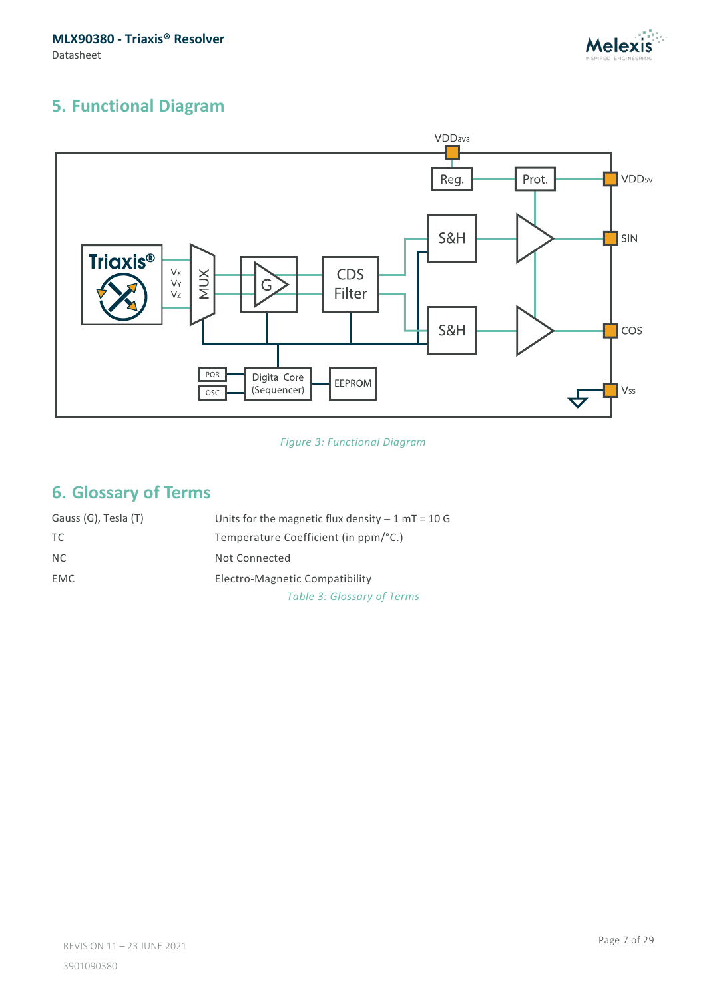**MLX90380 - Triaxis® Resolver** Datasheet



# <span id="page-6-0"></span>**5. Functional Diagram**



*Figure 3: Functional Diagram*

# <span id="page-6-1"></span>**6. Glossary of Terms**

| Gauss (G), Tesla (T) | Units for the magnetic flux density $-1$ mT = 10 G |
|----------------------|----------------------------------------------------|
| TC.                  | Temperature Coefficient (in ppm/°C.)               |
| NC.                  | Not Connected                                      |
| <b>EMC</b>           | Electro-Magnetic Compatibility                     |
|                      | <b>Table 3: Glossary of Terms</b>                  |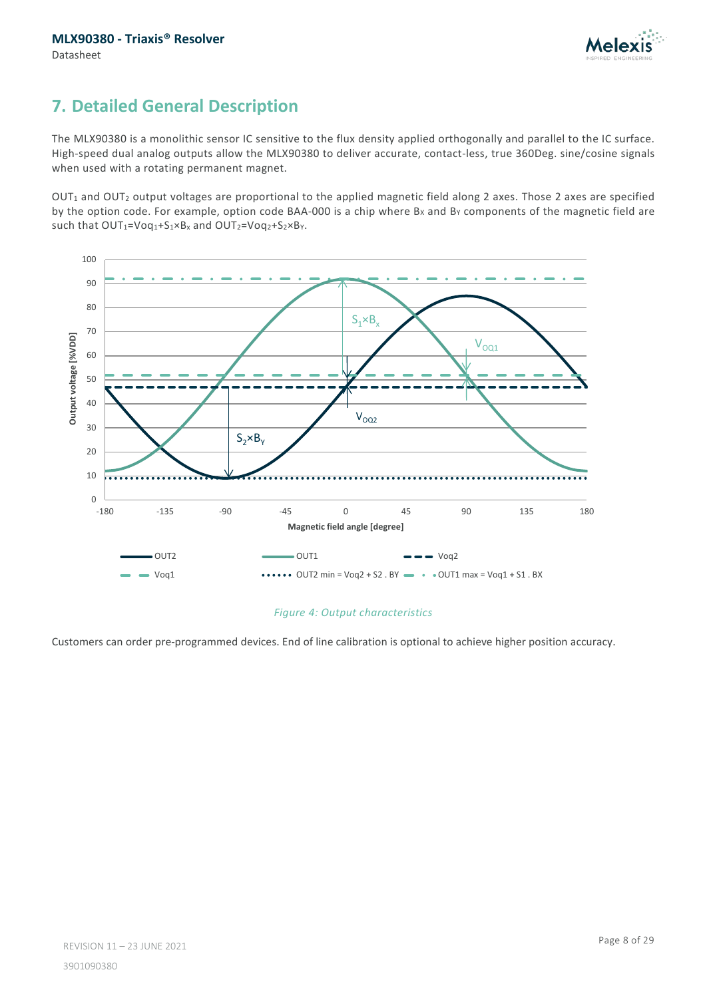

# <span id="page-7-0"></span>**7. Detailed General Description**

The MLX90380 is a monolithic sensor IC sensitive to the flux density applied orthogonally and parallel to the IC surface. High-speed dual analog outputs allow the MLX90380 to deliver accurate, contact-less, true 360Deg. sine/cosine signals when used with a rotating permanent magnet.

OUT<sub>1</sub> and OUT<sub>2</sub> output voltages are proportional to the applied magnetic field along 2 axes. Those 2 axes are specified by the option code. For example, option code BAA-000 is a chip where Bx and By components of the magnetic field are such that  $OUT_1=Voq_1+S_1xB_x$  and  $OUT_2=Voq_2+S_2xB_y$ .



#### *Figure 4: Output characteristics*

Customers can order pre-programmed devices. End of line calibration is optional to achieve higher position accuracy.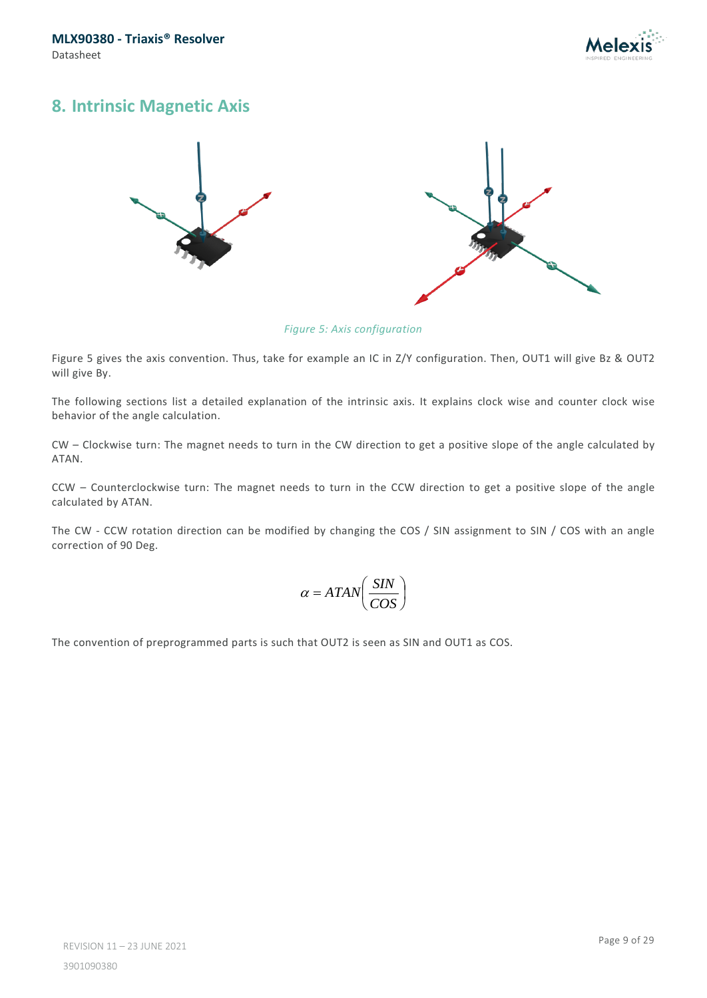

### <span id="page-8-0"></span>**8. Intrinsic Magnetic Axis**





*Figure 5: Axis configuration*

Figure 5 gives the axis convention. Thus, take for example an IC in Z/Y configuration. Then, OUT1 will give Bz & OUT2 will give By.

The following sections list a detailed explanation of the intrinsic axis. It explains clock wise and counter clock wise behavior of the angle calculation.

CW – Clockwise turn: The magnet needs to turn in the CW direction to get a positive slope of the angle calculated by ATAN.

CCW – Counterclockwise turn: The magnet needs to turn in the CCW direction to get a positive slope of the angle calculated by ATAN.

The CW - CCW rotation direction can be modified by changing the COS / SIN assignment to SIN / COS with an angle correction of 90 Deg.

$$
\alpha = ATAN\left(\frac{SIN}{COS}\right)
$$

The convention of preprogrammed parts is such that OUT2 is seen as SIN and OUT1 as COS.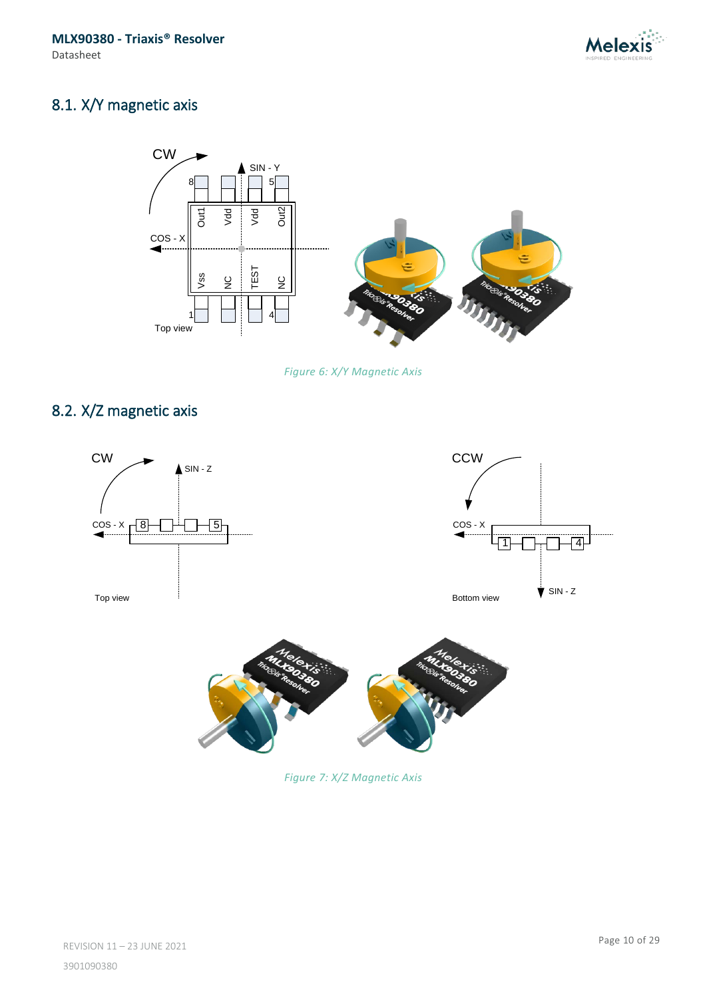

# <span id="page-9-0"></span>8.1. X/Y magnetic axis



*Figure 6: X/Y Magnetic Axis*

# <span id="page-9-1"></span>8.2. X/Z magnetic axis





*Figure 7: X/Z Magnetic Axis*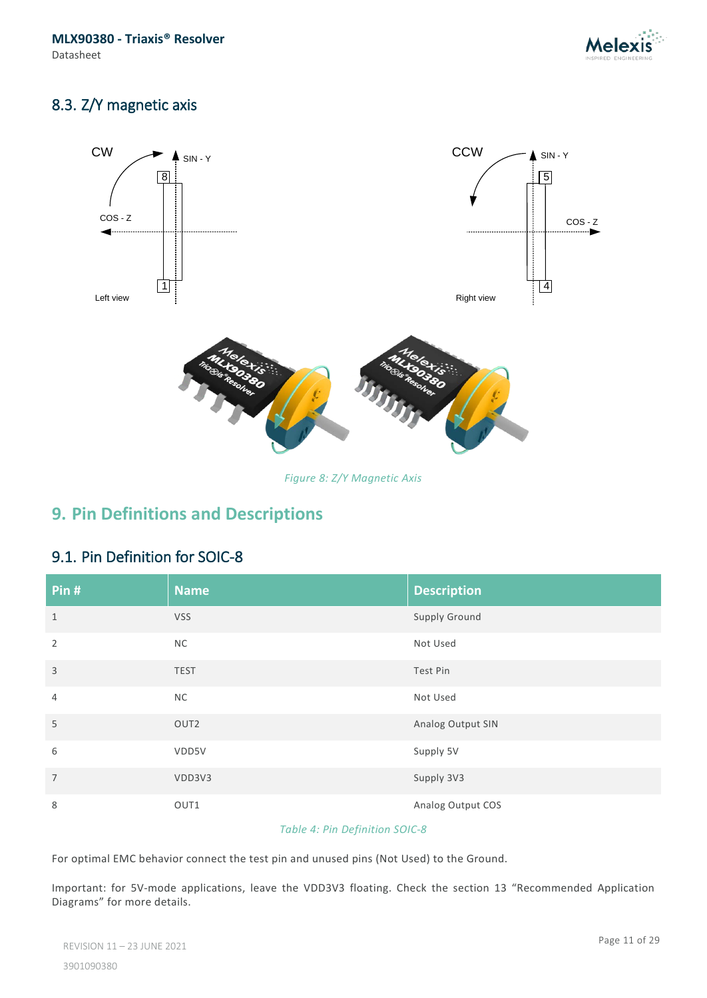

## <span id="page-10-0"></span>8.3. Z/Y magnetic axis



*Figure 8: Z/Y Magnetic Axis*

# <span id="page-10-1"></span>**9. Pin Definitions and Descriptions**

### <span id="page-10-2"></span>9.1. Pin Definition for SOIC-8

| Pin #          | <b>Name</b>      | <b>Description</b> |
|----------------|------------------|--------------------|
| $\mathbf{1}$   | <b>VSS</b>       | Supply Ground      |
| $\overline{2}$ | <b>NC</b>        | Not Used           |
| $\overline{3}$ | <b>TEST</b>      | Test Pin           |
| $\overline{4}$ | <b>NC</b>        | Not Used           |
| 5              | OUT <sub>2</sub> | Analog Output SIN  |
| 6              | VDD5V            | Supply 5V          |
| $\overline{7}$ | VDD3V3           | Supply 3V3         |
| 8              | OUT1             | Analog Output COS  |

#### *Table 4: Pin Definition SOIC-8*

For optimal EMC behavior connect the test pin and unused pins (Not Used) to the Ground.

Important: for 5V-mode applications, leave the VDD3V3 floating. Check the section [13](#page-19-0) ["Recommended Application](#page-19-0)  [Diagrams"](#page-19-0) for more details.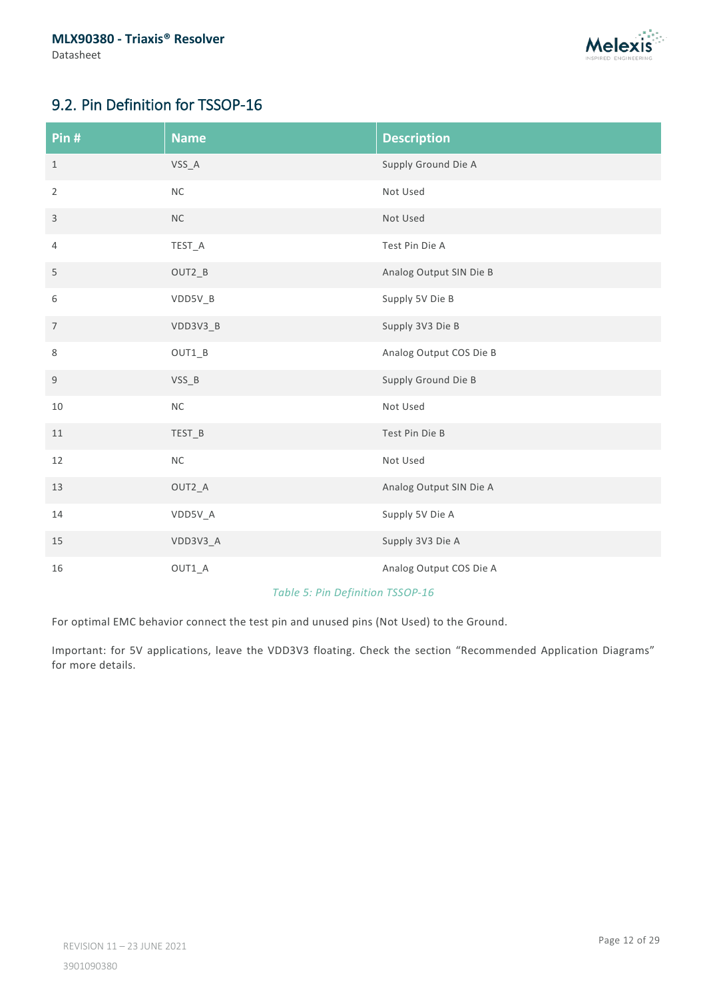

# <span id="page-11-0"></span>9.2. Pin Definition for TSSOP-16

| Pin#           | <b>Name</b> | <b>Description</b>      |
|----------------|-------------|-------------------------|
| $\mathbf{1}$   | $VSS_A$     | Supply Ground Die A     |
| $\overline{2}$ | $\sf NC$    | Not Used                |
| 3              | $NC$        | Not Used                |
| 4              | TEST_A      | Test Pin Die A          |
| 5              | OUT2_B      | Analog Output SIN Die B |
| 6              | VDD5V_B     | Supply 5V Die B         |
| $\overline{7}$ | VDD3V3_B    | Supply 3V3 Die B        |
| $\,8\,$        | $OUT1_B$    | Analog Output COS Die B |
| 9              | $VSS_B$     | Supply Ground Die B     |
| 10             | $\sf NC$    | Not Used                |
| 11             | TEST_B      | Test Pin Die B          |
| 12             | $\sf NC$    | Not Used                |
| 13             | OUT2_A      | Analog Output SIN Die A |
| 14             | VDD5V_A     | Supply 5V Die A         |
| 15             | VDD3V3_A    | Supply 3V3 Die A        |
| 16             | $OUT1_A$    | Analog Output COS Die A |

#### *Table 5: Pin Definition TSSOP-16*

For optimal EMC behavior connect the test pin and unused pins (Not Used) to the Ground.

Important: for 5V applications, leave the VDD3V3 floating. Check the section "Recommended Application Diagrams" for more details.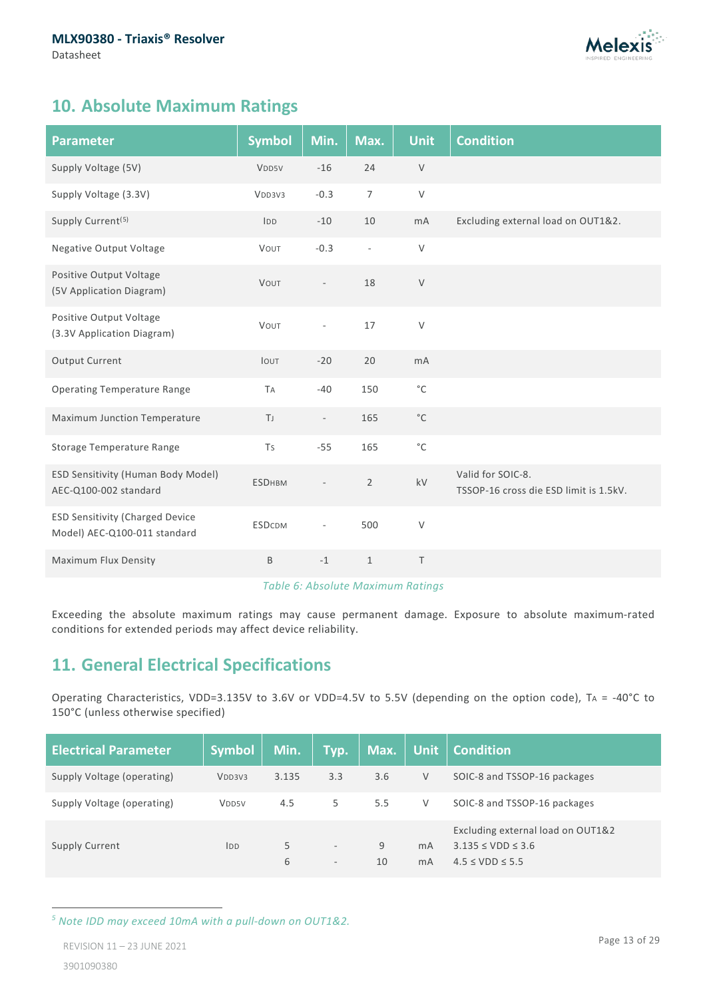

# <span id="page-12-0"></span>**10. Absolute Maximum Ratings**

| <b>Parameter</b>                                                       | <b>Symbol</b>     | Min.        | Max.                     | <b>Unit</b>       | <b>Condition</b>                                            |
|------------------------------------------------------------------------|-------------------|-------------|--------------------------|-------------------|-------------------------------------------------------------|
| Supply Voltage (5V)                                                    | V <sub>DD5V</sub> | $-16$       | 24                       | $\vee$            |                                                             |
| Supply Voltage (3.3V)                                                  | VDD3V3            | $-0.3$      | $\overline{7}$           | $\vee$            |                                                             |
| Supply Current <sup>(5)</sup>                                          | IDD               | $-10$       | 10                       | mA                | Excluding external load on OUT1&2.                          |
| Negative Output Voltage                                                | VOUT              | $-0.3$      | $\overline{\phantom{a}}$ | $\vee$            |                                                             |
| Positive Output Voltage<br>(5V Application Diagram)                    | VOUT              |             | 18                       | $\vee$            |                                                             |
| Positive Output Voltage<br>(3.3V Application Diagram)                  | VOUT              | ä,          | 17                       | $\vee$            |                                                             |
| Output Current                                                         | IOUT              | $-20$       | 20                       | mA                |                                                             |
| <b>Operating Temperature Range</b>                                     | <b>TA</b>         | $-40$       | 150                      | $^{\circ}{\rm C}$ |                                                             |
| Maximum Junction Temperature                                           | T                 | $\sim$      | 165                      | $^{\circ}{\rm C}$ |                                                             |
| Storage Temperature Range                                              | Ts                | $-55$       | 165                      | $^{\circ}{\rm C}$ |                                                             |
| ESD Sensitivity (Human Body Model)<br>AEC-Q100-002 standard            | <b>ESDHBM</b>     |             | $\overline{2}$           | kV                | Valid for SOIC-8.<br>TSSOP-16 cross die ESD limit is 1.5kV. |
| <b>ESD Sensitivity (Charged Device</b><br>Model) AEC-Q100-011 standard | <b>ESDCDM</b>     |             | 500                      | $\mathsf V$       |                                                             |
| Maximum Flux Density                                                   | B                 | $^{\rm -1}$ | $\mathbf{1}$             | $\top$            |                                                             |

#### *Table 6: Absolute Maximum Ratings*

Exceeding the absolute maximum ratings may cause permanent damage. Exposure to absolute maximum-rated conditions for extended periods may affect device reliability.

# <span id="page-12-1"></span>**11. General Electrical Specifications**

Operating Characteristics, VDD=3.135V to 3.6V or VDD=4.5V to 5.5V (depending on the option code), TA = -40°C to 150°C (unless otherwise specified)

| <b>Electrical Parameter</b> | <b>Symbol</b>      | Min.    | Typ.                                                 | Max.    | Unit                             | <b>Condition</b>                                                                          |
|-----------------------------|--------------------|---------|------------------------------------------------------|---------|----------------------------------|-------------------------------------------------------------------------------------------|
| Supply Voltage (operating)  | V <sub>DD3V3</sub> | 3.135   | 3.3                                                  | 3.6     | V                                | SOIC-8 and TSSOP-16 packages                                                              |
| Supply Voltage (operating)  | V <sub>DD5V</sub>  | 4.5     | 5                                                    | 5.5     | V                                | SOIC-8 and TSSOP-16 packages                                                              |
| <b>Supply Current</b>       | IDD                | 5.<br>6 | $\overline{\phantom{a}}$<br>$\overline{\phantom{a}}$ | 9<br>10 | m <sub>A</sub><br>m <sub>A</sub> | Excluding external load on OUT1&2<br>$3.135 \leq VDD \leq 3.6$<br>$4.5 \leq VDD \leq 5.5$ |

<span id="page-12-2"></span>*<sup>5</sup> Note IDD may exceed 10mA with a pull-down on OUT1&2.*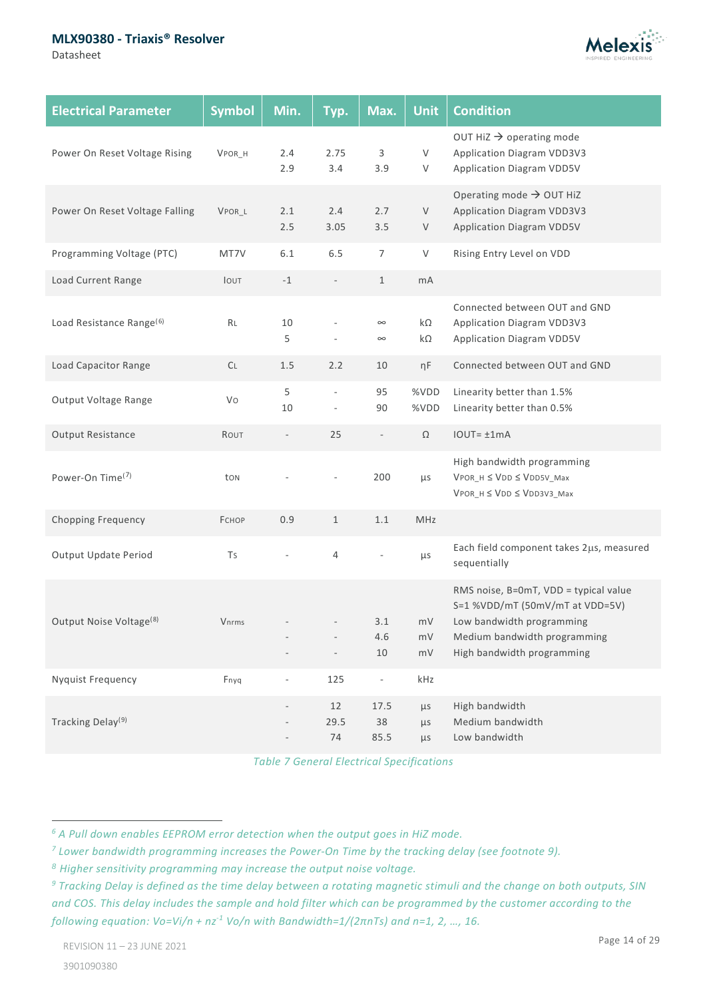#### **MLX90380 - Triaxis® Resolver**

Datasheet



| <b>Electrical Parameter</b>          | <b>Symbol</b> | Min.                     | Typ.                                                 | Max.                     | <b>Unit</b>            | <b>Condition</b>                                                                                                                                                    |
|--------------------------------------|---------------|--------------------------|------------------------------------------------------|--------------------------|------------------------|---------------------------------------------------------------------------------------------------------------------------------------------------------------------|
| Power On Reset Voltage Rising        | VPOR H        | 2.4<br>2.9               | 2.75<br>3.4                                          | 3<br>3.9                 | V<br>V                 | OUT HiZ $\rightarrow$ operating mode<br>Application Diagram VDD3V3<br><b>Application Diagram VDD5V</b>                                                              |
| Power On Reset Voltage Falling       | VPOR_L        | 2.1<br>2.5               | 2.4<br>3.05                                          | 2.7<br>3.5               | $\vee$<br>V            | Operating mode $\rightarrow$ OUT HiZ<br>Application Diagram VDD3V3<br><b>Application Diagram VDD5V</b>                                                              |
| Programming Voltage (PTC)            | MT7V          | 6.1                      | 6.5                                                  | $\overline{7}$           | V                      | Rising Entry Level on VDD                                                                                                                                           |
| Load Current Range                   | IOUT          | $-1$                     | $\overline{\phantom{a}}$                             | $\mathbf{1}$             | mA                     |                                                                                                                                                                     |
| Load Resistance Range <sup>(6)</sup> | RL            | 10<br>5                  | ÷,                                                   | $\infty$<br>$\infty$     | $k\Omega$<br>$k\Omega$ | Connected between OUT and GND<br>Application Diagram VDD3V3<br><b>Application Diagram VDD5V</b>                                                                     |
| Load Capacitor Range                 | CL            | 1.5                      | 2.2                                                  | 10                       | ηF                     | Connected between OUT and GND                                                                                                                                       |
| Output Voltage Range                 | Vo            | 5<br>10                  | $\overline{\phantom{a}}$<br>$\overline{\phantom{a}}$ | 95<br>90                 | %VDD<br>%VDD           | Linearity better than 1.5%<br>Linearity better than 0.5%                                                                                                            |
| Output Resistance                    | ROUT          | $\qquad \qquad -$        | 25                                                   | $\overline{\phantom{a}}$ | Ω                      | $IOUT = ±1mA$                                                                                                                                                       |
| Power-On Time <sup>(7)</sup>         | ton           |                          |                                                      | 200                      | μs                     | High bandwidth programming<br>$V$ POR_H $\leq$ $V$ DD $\leq$ $V$ DD5V_Max<br>$V$ POR_H $\leq$ $V$ DD $\leq$ $V$ DD3V3_Max                                           |
| <b>Chopping Frequency</b>            | <b>ЕСНОР</b>  | 0.9                      | $\mathbf{1}$                                         | 1.1                      | MHz                    |                                                                                                                                                                     |
| Output Update Period                 | Ts            |                          | $\overline{4}$                                       |                          | $\mu$ s                | Each field component takes 2µs, measured<br>sequentially                                                                                                            |
| Output Noise Voltage <sup>(8)</sup>  | Vnrms         |                          | $\overline{\phantom{a}}$                             | 3.1<br>4.6<br>$10\,$     | mV<br>mV<br>mV         | RMS noise, B=0mT, VDD = typical value<br>S=1 %VDD/mT (50mV/mT at VDD=5V)<br>Low bandwidth programming<br>Medium bandwidth programming<br>High bandwidth programming |
| <b>Nyquist Frequency</b>             | Fnyq          | $\overline{\phantom{a}}$ | 125                                                  | $\overline{\phantom{a}}$ | kHz                    |                                                                                                                                                                     |
| Tracking Delay <sup>(9)</sup>        |               |                          | 12<br>29.5<br>74                                     | 17.5<br>38<br>85.5       | $\mu$ s<br>μs<br>μs    | High bandwidth<br>Medium bandwidth<br>Low bandwidth                                                                                                                 |

*Table 7 General Electrical Specifications*

<span id="page-13-1"></span><span id="page-13-0"></span>*<sup>6</sup> A Pull down enables EEPROM error detection when the output goes in HiZ mode.*

<span id="page-13-2"></span>*<sup>7</sup> Lower bandwidth programming increases the Power-On Time by the tracking delay (see footnote [9\)](#page-13-0).*

<span id="page-13-3"></span>*<sup>8</sup> Higher sensitivity programming may increase the output noise voltage.*

<span id="page-13-4"></span>*<sup>9</sup> Tracking Delay is defined as the time delay between a rotating magnetic stimuli and the change on both outputs, SIN and COS. This delay includes the sample and hold filter which can be programmed by the customer according to the following equation: Vo=Vi/n + nz-1 Vo/n with Bandwidth=1/(2πnTs) and n=1, 2, …, 16.*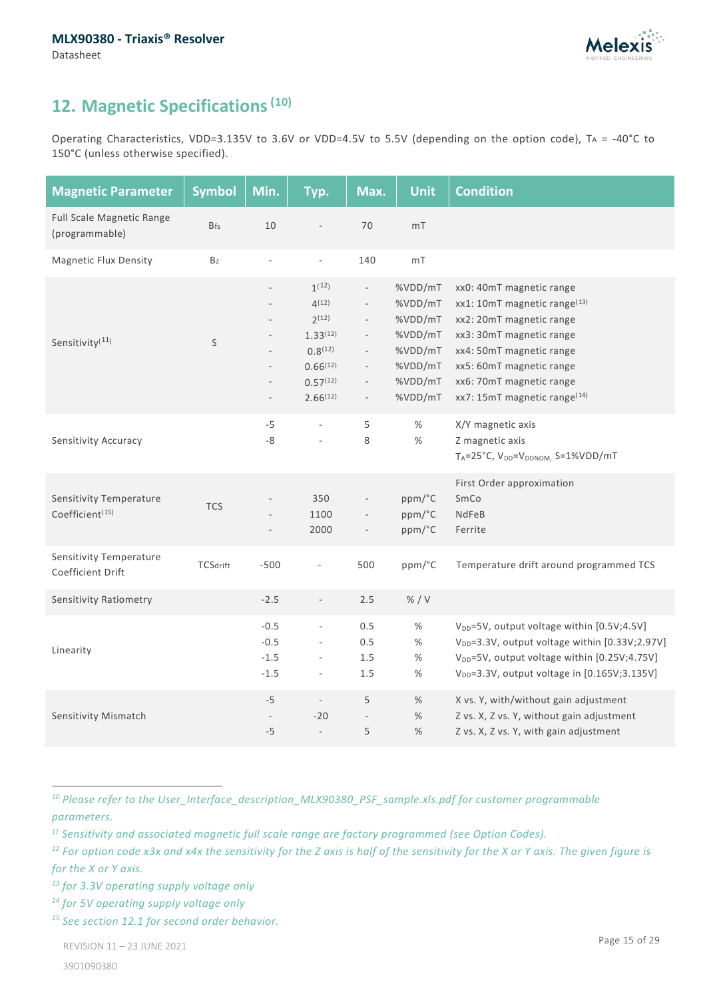

# <span id="page-14-0"></span>**12. Magnetic Specifications([10\)](#page-14-2)**

Operating Characteristics, VDD=3.135V to 3.6V or VDD=4.5V to 5.5V (depending on the option code), TA = -40°C to 150°C (unless otherwise specified).

<span id="page-14-1"></span>

| <b>Magnetic Parameter</b>                              | <b>Symbol</b>   | Min.                                                                                                  | Typ.                                                                                                         | Max.                                                                                                                                                                                             | <b>Unit</b>                                                                          | <b>Condition</b>                                                                                                                                                                                                                             |
|--------------------------------------------------------|-----------------|-------------------------------------------------------------------------------------------------------|--------------------------------------------------------------------------------------------------------------|--------------------------------------------------------------------------------------------------------------------------------------------------------------------------------------------------|--------------------------------------------------------------------------------------|----------------------------------------------------------------------------------------------------------------------------------------------------------------------------------------------------------------------------------------------|
| Full Scale Magnetic Range<br>(programmable)            | <b>Bfs</b>      | 10                                                                                                    | ÷,                                                                                                           | 70                                                                                                                                                                                               | mT                                                                                   |                                                                                                                                                                                                                                              |
| <b>Magnetic Flux Density</b>                           | Bz              | ÷,                                                                                                    | $\blacksquare$                                                                                               | 140                                                                                                                                                                                              | $mT$                                                                                 |                                                                                                                                                                                                                                              |
| Sensitivity <sup>(11)</sup>                            | $\sf S$         | $\overline{\phantom{a}}$<br>$\overline{\phantom{m}}$<br>$\qquad \qquad -$<br>$\overline{\phantom{m}}$ | $1^{(12)}$<br>4(12)<br>$2^{(12)}$<br>$1.33^{(12)}$<br>$0.8^{(12)}$<br>$0.66^{(12)}$<br>0.57(12)<br>2.66(12)  | $\overline{\phantom{a}}$<br>$\overline{\phantom{a}}$<br>$\overline{\phantom{a}}$<br>$\overline{\phantom{a}}$<br>$\overline{\phantom{a}}$<br>$\overline{\phantom{a}}$<br>$\overline{\phantom{a}}$ | %VDD/mT<br>%VDD/mT<br>%VDD/mT<br>%VDD/mT<br>%VDD/mT<br>%VDD/mT<br>%VDD/mT<br>%VDD/mT | xx0: 40mT magnetic range<br>xx1: 10mT magnetic range(13)<br>xx2: 20mT magnetic range<br>xx3: 30mT magnetic range<br>xx4: 50mT magnetic range<br>xx5: 60mT magnetic range<br>xx6: 70mT magnetic range<br>xx7: 15mT magnetic range(14)         |
| Sensitivity Accuracy                                   |                 | $-5$<br>$-8$                                                                                          | $\overline{\phantom{a}}$<br>$\bar{\phantom{a}}$                                                              | 5<br>8                                                                                                                                                                                           | %<br>$\%$                                                                            | X/Y magnetic axis<br>Z magnetic axis<br>T <sub>A</sub> =25°C, V <sub>DD</sub> =V <sub>DDNOM</sub> , S=1%VDD/mT                                                                                                                               |
| Sensitivity Temperature<br>Coefficient <sup>(15)</sup> | <b>TCS</b>      | $\overline{\phantom{m}}$                                                                              | 350<br>1100<br>2000                                                                                          | $\overline{\phantom{a}}$                                                                                                                                                                         | ppm/°C<br>ppm/°C<br>ppm/°C                                                           | First Order approximation<br>SmCo<br>NdFeB<br>Ferrite                                                                                                                                                                                        |
| Sensitivity Temperature<br>Coefficient Drift           | <b>TCSdrift</b> | $-500$                                                                                                | ÷,                                                                                                           | 500                                                                                                                                                                                              | ppm/°C                                                                               | Temperature drift around programmed TCS                                                                                                                                                                                                      |
| Sensitivity Ratiometry                                 |                 | $-2.5$                                                                                                | $\overline{\phantom{a}}$                                                                                     | 2.5                                                                                                                                                                                              | % / V                                                                                |                                                                                                                                                                                                                                              |
| Linearity                                              |                 | $-0.5$<br>$-0.5$<br>$-1.5$<br>$-1.5$                                                                  | $\overline{\phantom{a}}$<br>$\overline{\phantom{a}}$<br>$\overline{\phantom{a}}$<br>$\overline{\phantom{a}}$ | 0.5<br>0.5<br>1.5<br>1.5                                                                                                                                                                         | $\%$<br>$\%$<br>$\%$<br>$\%$                                                         | V <sub>DD</sub> =5V, output voltage within [0.5V;4.5V]<br>V <sub>DD</sub> =3.3V, output voltage within [0.33V;2.97V]<br>V <sub>DD</sub> =5V, output voltage within [0.25V;4.75V]<br>V <sub>DD</sub> =3.3V, output voltage in [0.165V;3.135V] |
| Sensitivity Mismatch                                   |                 | $-5$<br>$-5$                                                                                          | $\overline{\phantom{a}}$<br>$-20$<br>$\overline{\phantom{a}}$                                                | 5<br>$\qquad \qquad -$<br>5                                                                                                                                                                      | %<br>$\%$<br>%                                                                       | X vs. Y, with/without gain adjustment<br>Z vs. X, Z vs. Y, without gain adjustment<br>Z vs. X, Z vs. Y, with gain adjustment                                                                                                                 |

<span id="page-14-2"></span>*<sup>10</sup> Please refer to the User\_Interface\_description\_MLX90380\_PSF\_sample.xls.pdf for customer programmable parameters.*

<span id="page-14-3"></span>*<sup>11</sup> Sensitivity and associated magnetic full scale range are factory programmed (see Option Codes).*

<span id="page-14-4"></span>*<sup>12</sup> For option code x3x and x4x the sensitivity for the Z axis is half of the sensitivity for the X or Y axis. The given figure is for the X or Y axis.*

<span id="page-14-5"></span>*<sup>13</sup> for 3.3V operating supply voltage only*

<span id="page-14-6"></span>*<sup>14</sup> for 5V operating supply voltage only*

<span id="page-14-7"></span>*<sup>15</sup> See section [12.1](#page-16-0) for second order behavior.*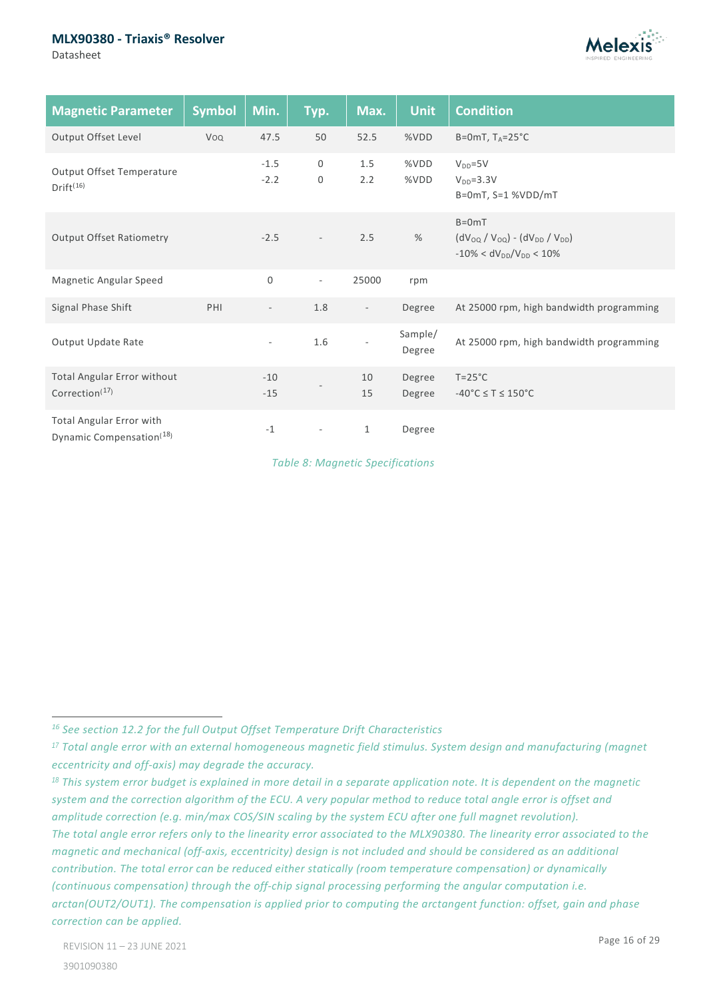#### **MLX90380 - Triaxis® Resolver**

Datasheet



| <b>Magnetic Parameter</b>                                        | <b>Symbol</b> | Min.                     | Typ.                     | Max.                     | <b>Unit</b>       | <b>Condition</b>                                                                        |
|------------------------------------------------------------------|---------------|--------------------------|--------------------------|--------------------------|-------------------|-----------------------------------------------------------------------------------------|
| Output Offset Level                                              | Voq           | 47.5                     | 50                       | 52.5                     | %VDD              | B=0mT, $T_A = 25^{\circ}C$                                                              |
| <b>Output Offset Temperature</b><br>Drift <sup>(16)</sup>        |               | $-1.5$<br>$-2.2$         | $\mathbf 0$<br>0         | 1.5<br>2.2               | %VDD<br>%VDD      | $V_{DD} = 5V$<br>$VDD=3.3V$<br>B=0mT, S=1 %VDD/mT                                       |
| <b>Output Offset Ratiometry</b>                                  |               | $-2.5$                   | $\overline{\phantom{a}}$ | 2.5                      | %                 | $B=0mT$<br>$(dV_{OQ} / V_{OQ}) - (dV_{DD} / V_{DD})$<br>$-10\% < dV_{DD}/V_{DD} < 10\%$ |
| Magnetic Angular Speed                                           |               | $\mathsf 0$              | $\overline{\phantom{a}}$ | 25000                    | rpm               |                                                                                         |
| Signal Phase Shift                                               | PHI           | $\overline{\phantom{a}}$ | 1.8                      | $\overline{\phantom{a}}$ | Degree            | At 25000 rpm, high bandwidth programming                                                |
| Output Update Rate                                               |               | $\overline{\phantom{a}}$ | 1.6                      |                          | Sample/<br>Degree | At 25000 rpm, high bandwidth programming                                                |
| Total Angular Error without<br>Correction <sup>(17)</sup>        |               | $-10$<br>$-15$           |                          | 10<br>15                 | Degree<br>Degree  | $T = 25^{\circ}C$<br>$-40^{\circ}$ C $\leq$ T $\leq$ 150 $^{\circ}$ C                   |
| Total Angular Error with<br>Dynamic Compensation <sup>(18)</sup> |               | $-1$                     |                          | 1                        | Degree            |                                                                                         |

*Table 8: Magnetic Specifications*

<span id="page-15-0"></span>*<sup>16</sup> See section 12.2 for the full Output Offset Temperature Drift Characteristics*

<span id="page-15-1"></span>*<sup>17</sup> Total angle error with an external homogeneous magnetic field stimulus. System design and manufacturing (magnet eccentricity and off-axis) may degrade the accuracy.*

<span id="page-15-2"></span>*<sup>18</sup> This system error budget is explained in more detail in a separate application note. It is dependent on the magnetic system and the correction algorithm of the ECU. A very popular method to reduce total angle error is offset and amplitude correction (e.g. min/max COS/SIN scaling by the system ECU after one full magnet revolution). The total angle error refers only to the linearity error associated to the MLX90380. The linearity error associated to the magnetic and mechanical (off-axis, eccentricity) design is not included and should be considered as an additional contribution. The total error can be reduced either statically (room temperature compensation) or dynamically (continuous compensation) through the off-chip signal processing performing the angular computation i.e. arctan(OUT2/OUT1). The compensation is applied prior to computing the arctangent function: offset, gain and phase correction can be applied.*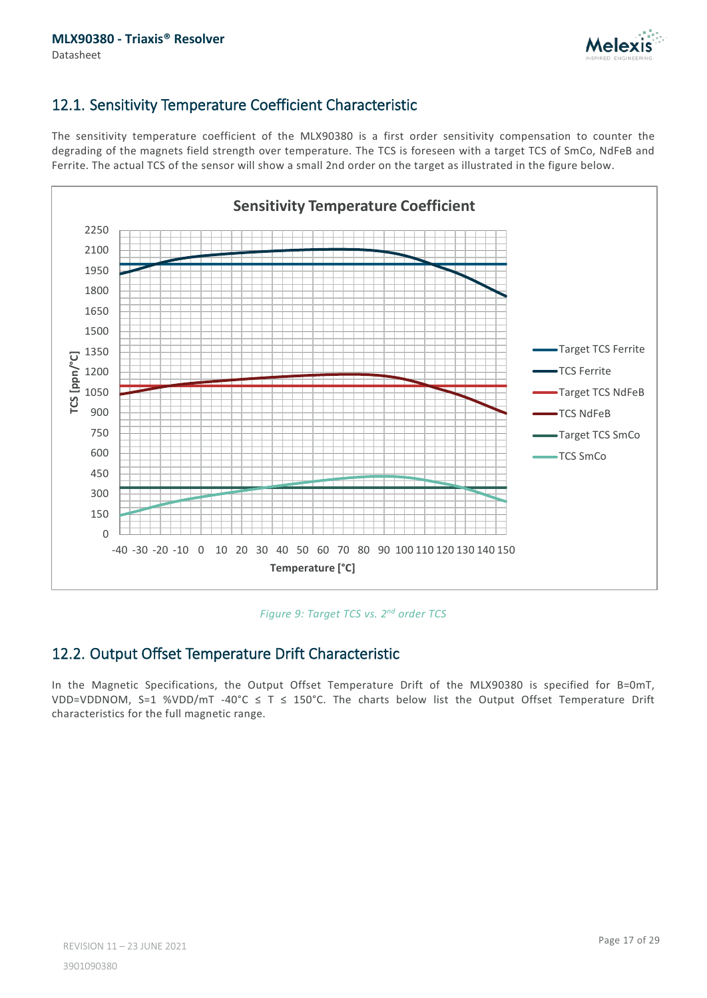

### <span id="page-16-0"></span>12.1. Sensitivity Temperature Coefficient Characteristic

The sensitivity temperature coefficient of the MLX90380 is a first order sensitivity compensation to counter the degrading of the magnets field strength over temperature. The TCS is foreseen with a target TCS of SmCo, NdFeB and Ferrite. The actual TCS of the sensor will show a small 2nd order on the target as illustrated in the figure below.



*Figure 9: Target TCS vs. 2nd order TCS*

### <span id="page-16-1"></span>12.2. Output Offset Temperature Drift Characteristic

In the Magnetic Specifications, the Output Offset Temperature Drift of the MLX90380 is specified for B=0mT, VDD=VDDNOM, S=1 %VDD/mT -40°C ≤ T ≤ 150°C. The charts below list the Output Offset Temperature Drift characteristics for the full magnetic range.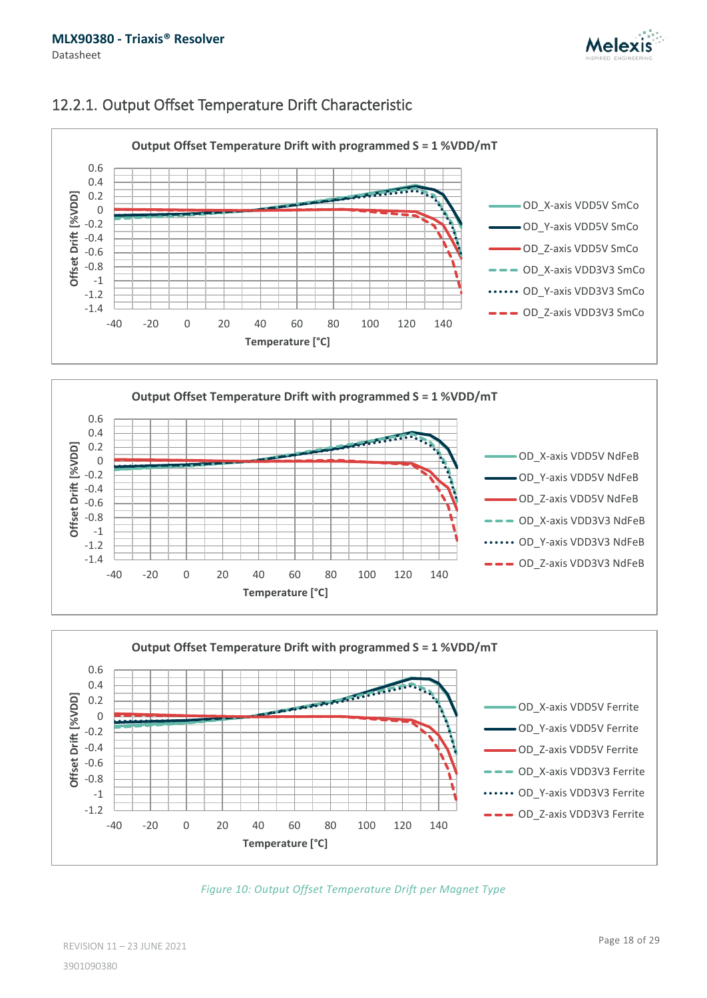

### <span id="page-17-0"></span>12.2.1. Output Offset Temperature Drift Characteristic







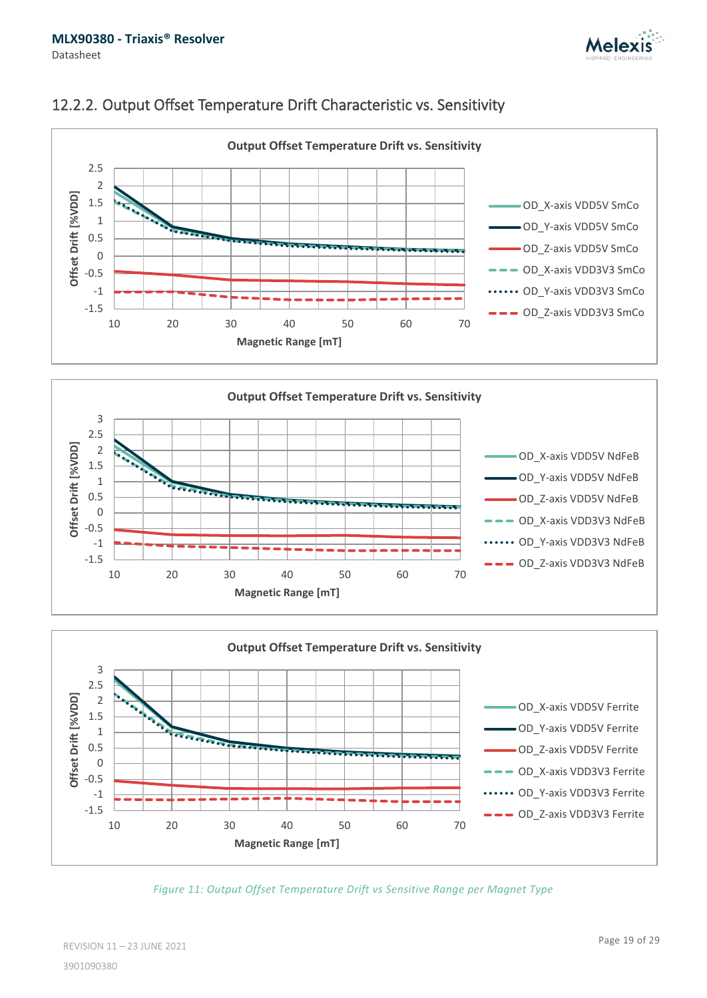



### <span id="page-18-0"></span>12.2.2. Output Offset Temperature Drift Characteristic vs. Sensitivity



![](_page_18_Figure_5.jpeg)

*Figure 11: Output Offset Temperature Drift vs Sensitive Range per Magnet Type*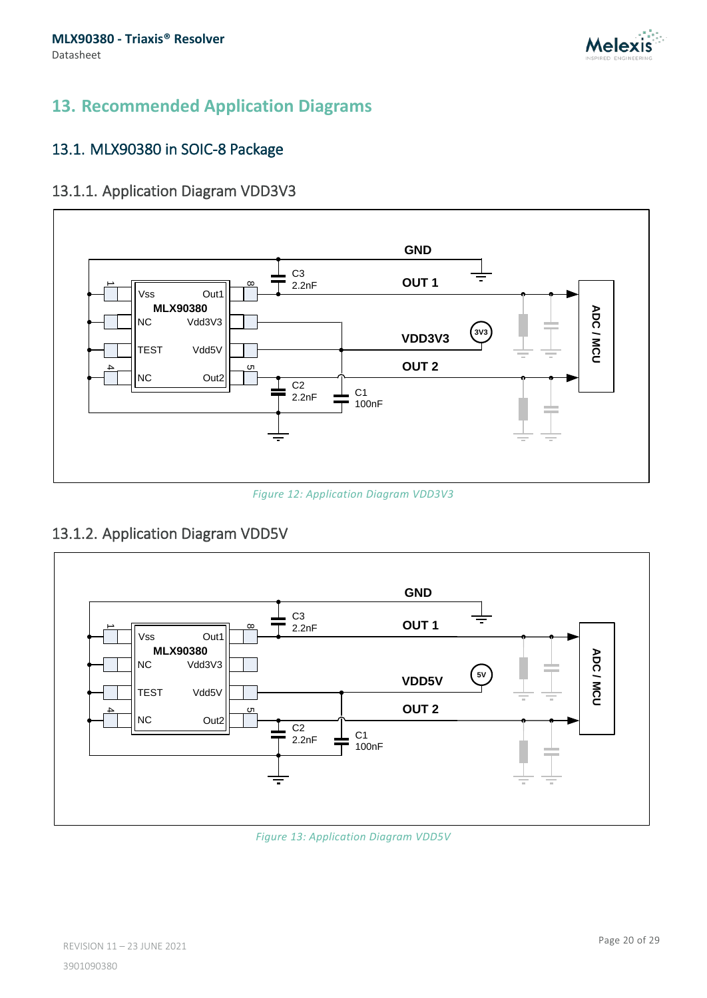![](_page_19_Picture_0.jpeg)

# <span id="page-19-0"></span>**13. Recommended Application Diagrams**

### <span id="page-19-1"></span>13.1. MLX90380 in SOIC-8 Package

### <span id="page-19-2"></span>13.1.1. Application Diagram VDD3V3

![](_page_19_Figure_5.jpeg)

*Figure 12: Application Diagram VDD3V3*

# <span id="page-19-3"></span>13.1.2. Application Diagram VDD5V

![](_page_19_Figure_8.jpeg)

*Figure 13: Application Diagram VDD5V*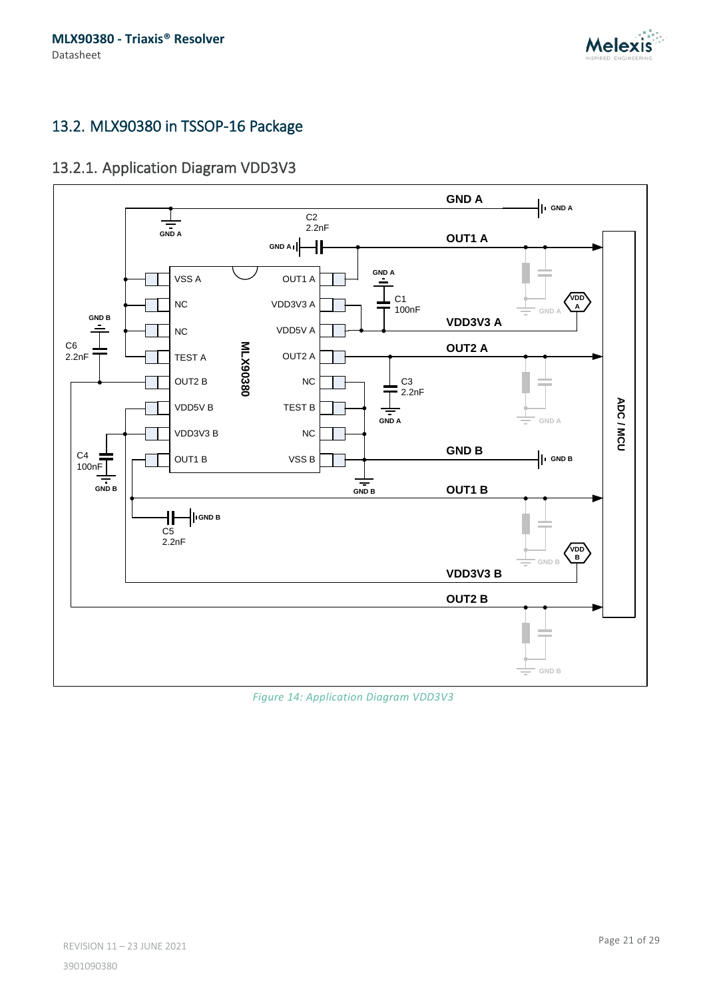![](_page_20_Picture_1.jpeg)

### <span id="page-20-0"></span>13.2. MLX90380 in TSSOP-16 Package

# <span id="page-20-1"></span>13.2.1. Application Diagram VDD3V3

![](_page_20_Figure_4.jpeg)

*Figure 14: Application Diagram VDD3V3*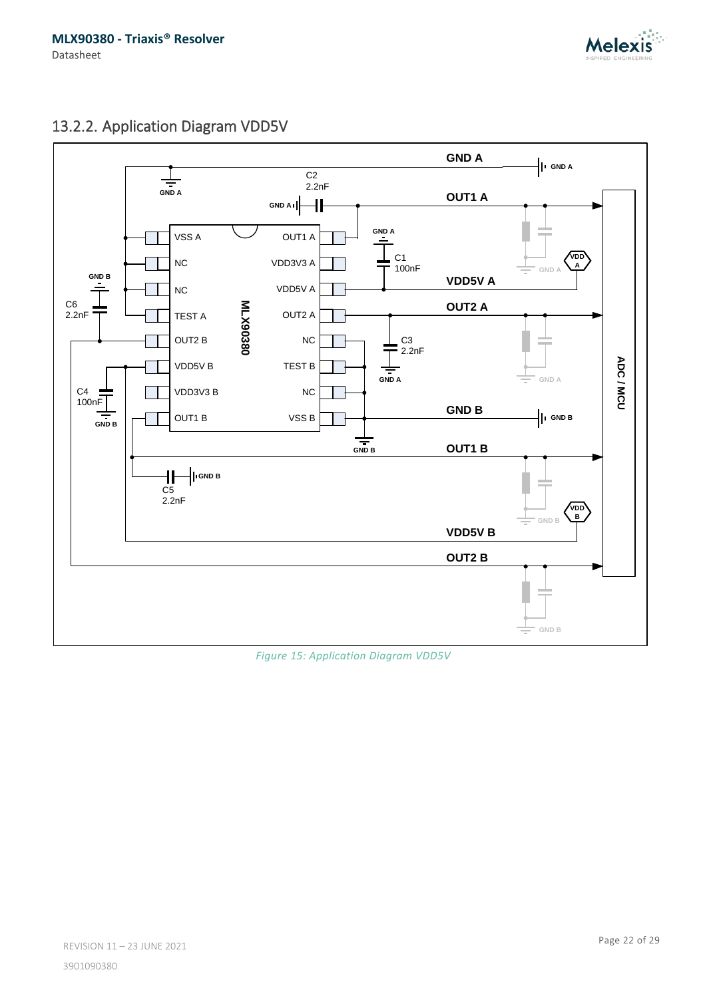![](_page_21_Picture_1.jpeg)

# <span id="page-21-0"></span>13.2.2. Application Diagram VDD5V

![](_page_21_Figure_3.jpeg)

*Figure 15: Application Diagram VDD5V*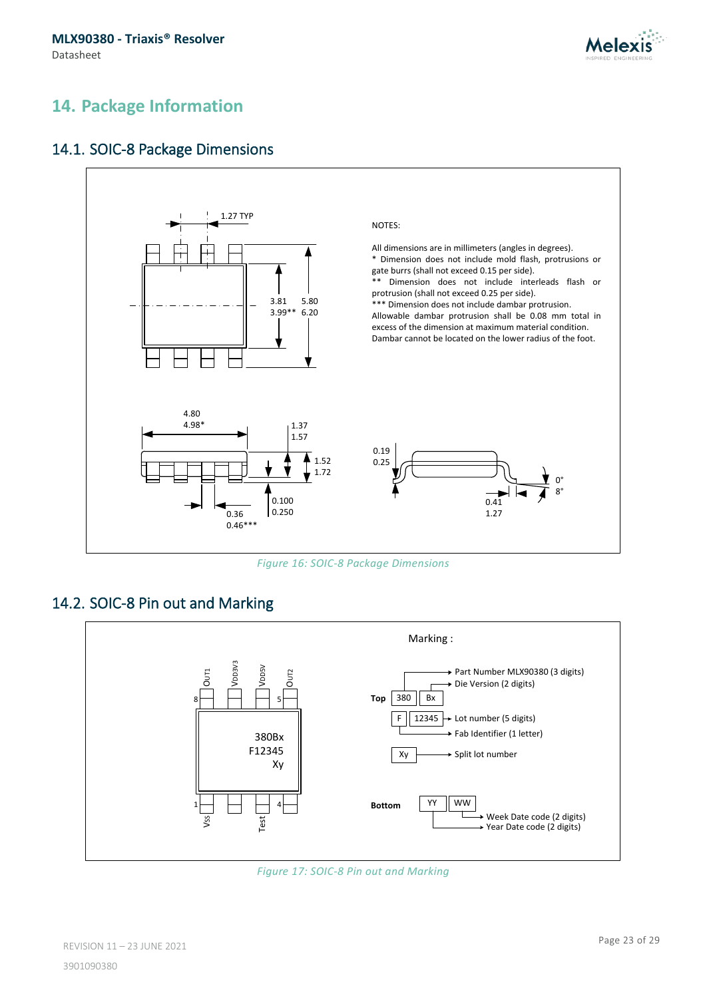![](_page_22_Picture_1.jpeg)

# <span id="page-22-0"></span>**14. Package Information**

### <span id="page-22-1"></span>14.1. SOIC-8 Package Dimensions

![](_page_22_Figure_4.jpeg)

*Figure 16: SOIC-8 Package Dimensions*

### <span id="page-22-2"></span>14.2. SOIC-8 Pin out and Marking

![](_page_22_Figure_7.jpeg)

![](_page_22_Figure_8.jpeg)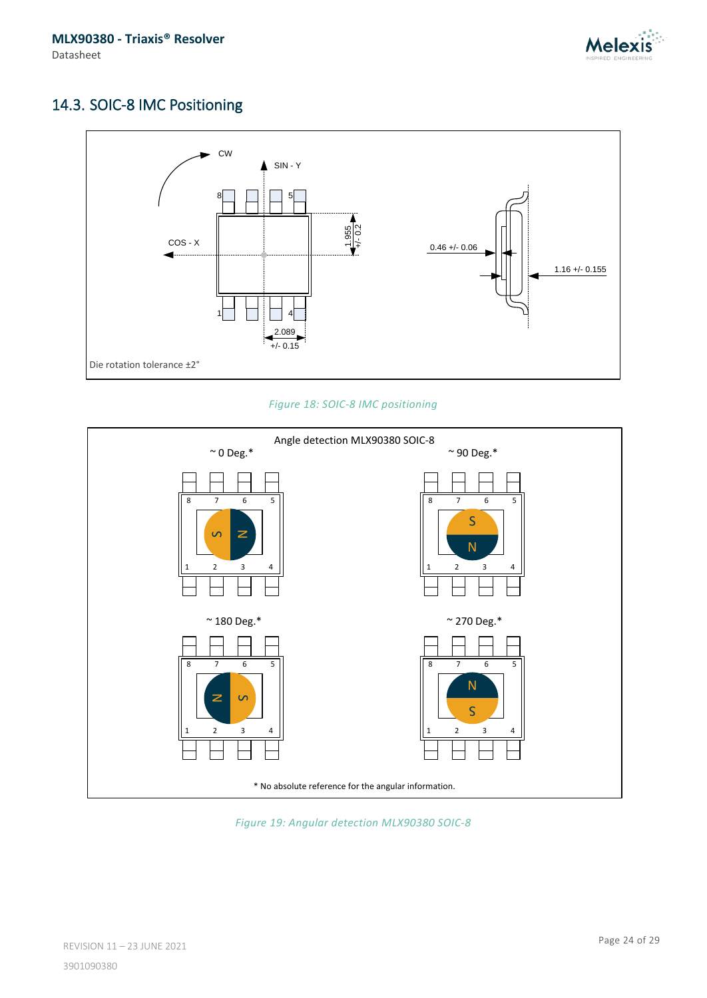![](_page_23_Picture_1.jpeg)

# <span id="page-23-0"></span>14.3. SOIC-8 IMC Positioning

![](_page_23_Figure_3.jpeg)

*Figure 18: SOIC-8 IMC positioning*

![](_page_23_Figure_5.jpeg)

*Figure 19: Angular detection MLX90380 SOIC-8*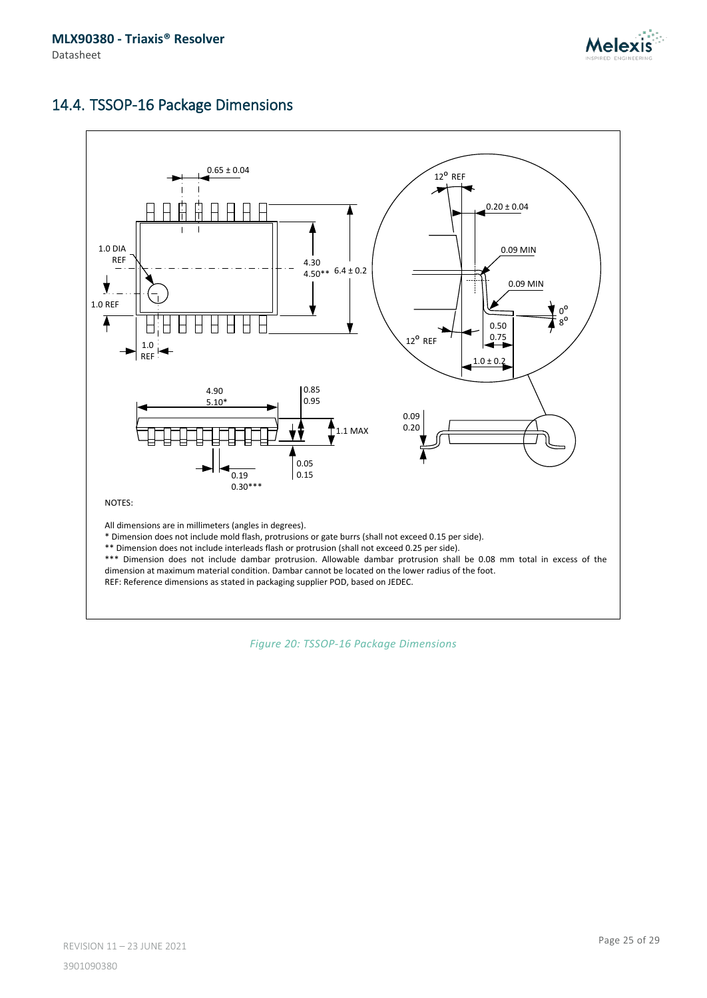![](_page_24_Picture_1.jpeg)

### <span id="page-24-0"></span>14.4. TSSOP-16 Package Dimensions

![](_page_24_Figure_3.jpeg)

*Figure 20: TSSOP-16 Package Dimensions*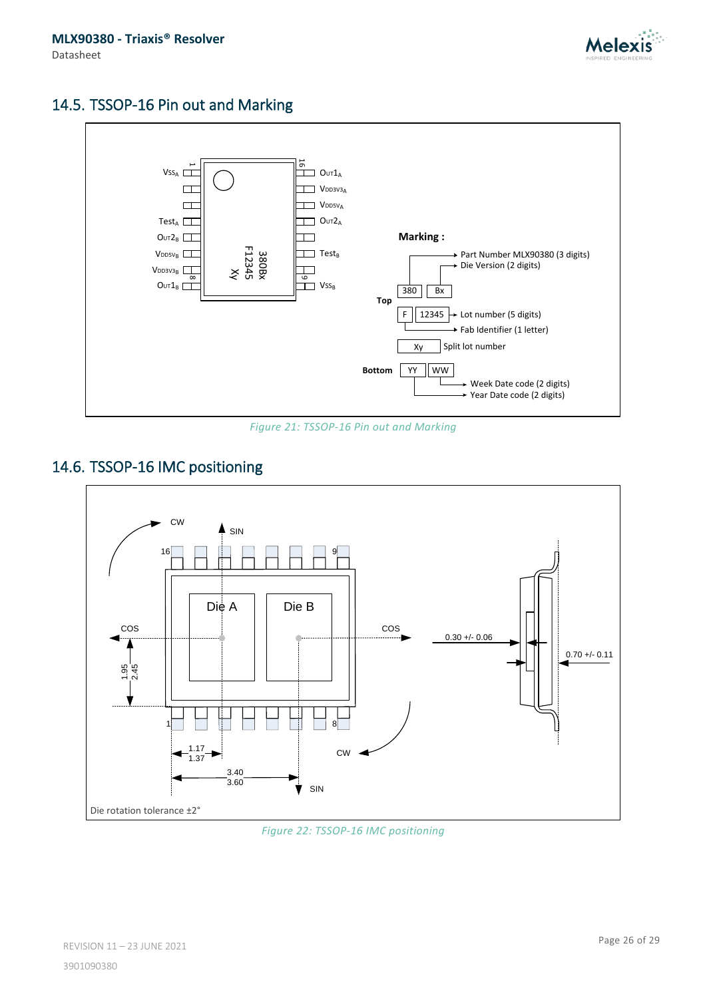![](_page_25_Picture_1.jpeg)

# <span id="page-25-0"></span>14.5. TSSOP-16 Pin out and Marking

![](_page_25_Figure_3.jpeg)

*Figure 21: TSSOP-16 Pin out and Marking*

# <span id="page-25-1"></span>14.6. TSSOP-16 IMC positioning

![](_page_25_Figure_6.jpeg)

#### *Figure 22: TSSOP-16 IMC positioning*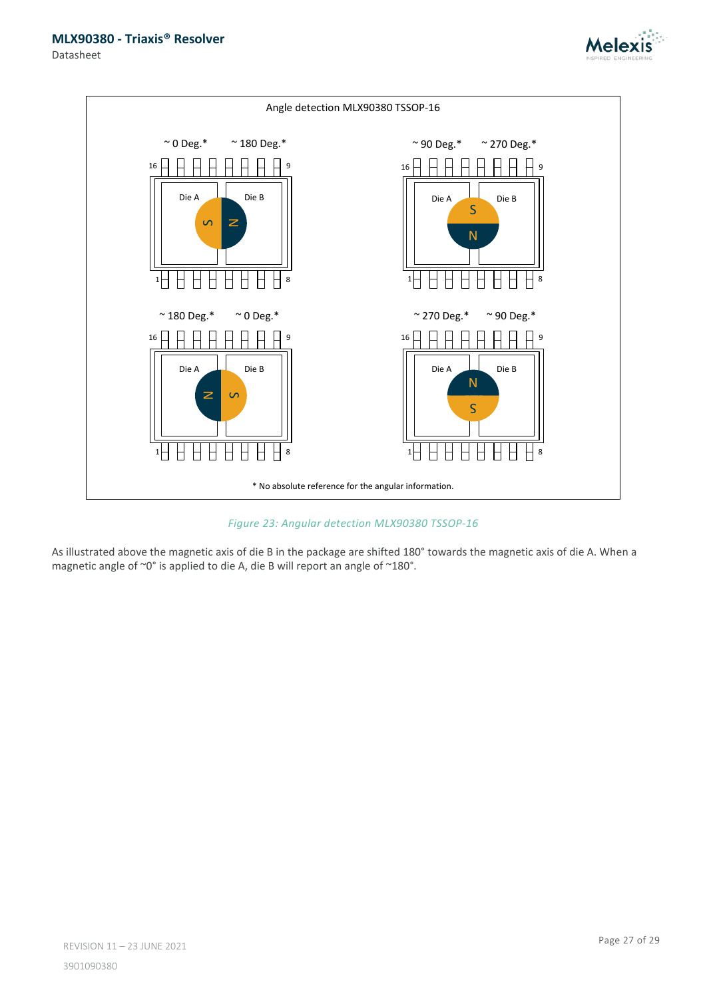![](_page_26_Picture_1.jpeg)

Datasheet

![](_page_26_Figure_3.jpeg)

*Figure 23: Angular detection MLX90380 TSSOP-16*

As illustrated above the magnetic axis of die B in the package are shifted 180° towards the magnetic axis of die A. When a magnetic angle of ~0° is applied to die A, die B will report an angle of ~180°.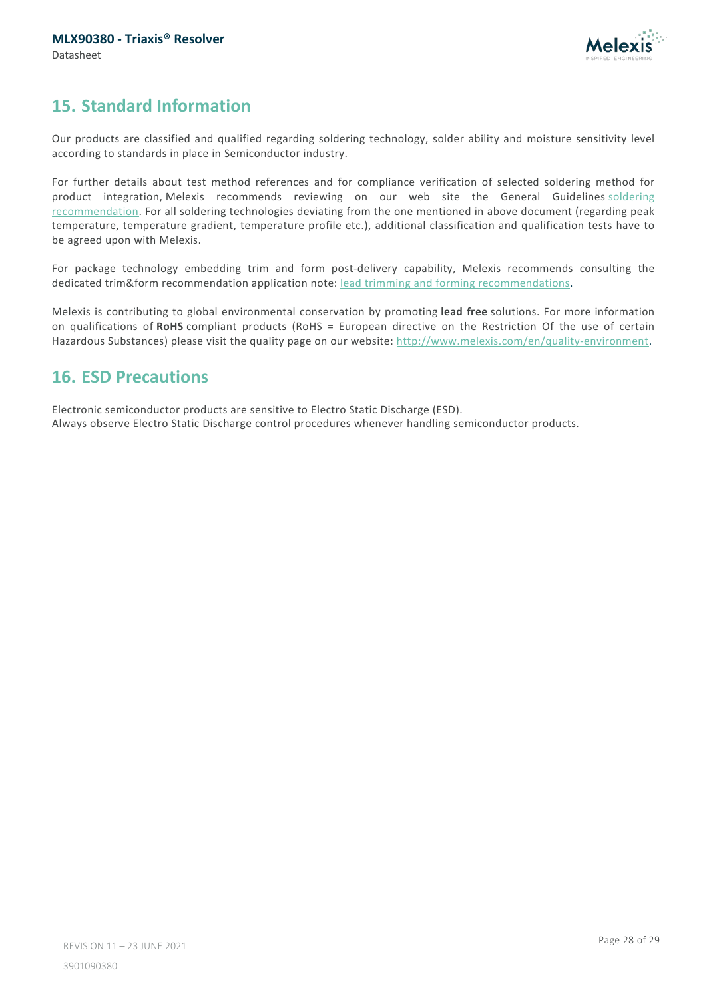![](_page_27_Picture_1.jpeg)

# <span id="page-27-0"></span>**15. Standard Information**

Our products are classified and qualified regarding soldering technology, solder ability and moisture sensitivity level according to standards in place in Semiconductor industry.

For further details about test method references and for compliance verification of selected soldering method for product integration, Melexis recommends reviewing on our web site the General Guidelines soldering [recommendation.](http://www.melexis.com/en/quality-environment/soldering) For all soldering technologies deviating from the one mentioned in above document (regarding peak temperature, temperature gradient, temperature profile etc.), additional classification and qualification tests have to be agreed upon with Melexis.

For package technology embedding trim and form post-delivery capability, Melexis recommends consulting the dedicated trim&form recommendation application note: [lead trimming and forming recommendations.](http://www.melexis.com/en/documents/documentation/application-notes/lead-trimming-and-forming-recommendations)

Melexis is contributing to global environmental conservation by promoting **lead free** solutions. For more information on qualifications of **RoHS** compliant products (RoHS = European directive on the Restriction Of the use of certain Hazardous Substances) please visit the quality page on our website: [http://www.melexis.com/en/quality-environment.](http://www.melexis.com/en/quality-environment)

# <span id="page-27-1"></span>**16. ESD Precautions**

Electronic semiconductor products are sensitive to Electro Static Discharge (ESD). Always observe Electro Static Discharge control procedures whenever handling semiconductor products.